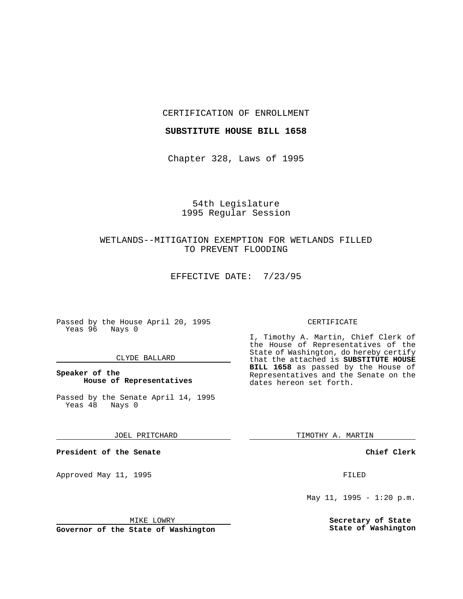## CERTIFICATION OF ENROLLMENT

#### **SUBSTITUTE HOUSE BILL 1658**

Chapter 328, Laws of 1995

## 54th Legislature 1995 Regular Session

# WETLANDS--MITIGATION EXEMPTION FOR WETLANDS FILLED TO PREVENT FLOODING

EFFECTIVE DATE: 7/23/95

Passed by the House April 20, 1995 Yeas 96 Nays 0

## CLYDE BALLARD

## **Speaker of the House of Representatives**

Passed by the Senate April 14, 1995<br>Yeas 48 Nays 0 Yeas 48

### JOEL PRITCHARD

**President of the Senate**

Approved May 11, 1995 FILED

### MIKE LOWRY

**Governor of the State of Washington**

#### CERTIFICATE

I, Timothy A. Martin, Chief Clerk of the House of Representatives of the State of Washington, do hereby certify that the attached is **SUBSTITUTE HOUSE BILL 1658** as passed by the House of Representatives and the Senate on the dates hereon set forth.

TIMOTHY A. MARTIN

## **Chief Clerk**

May 11, 1995 -  $1:20$  p.m.

**Secretary of State State of Washington**